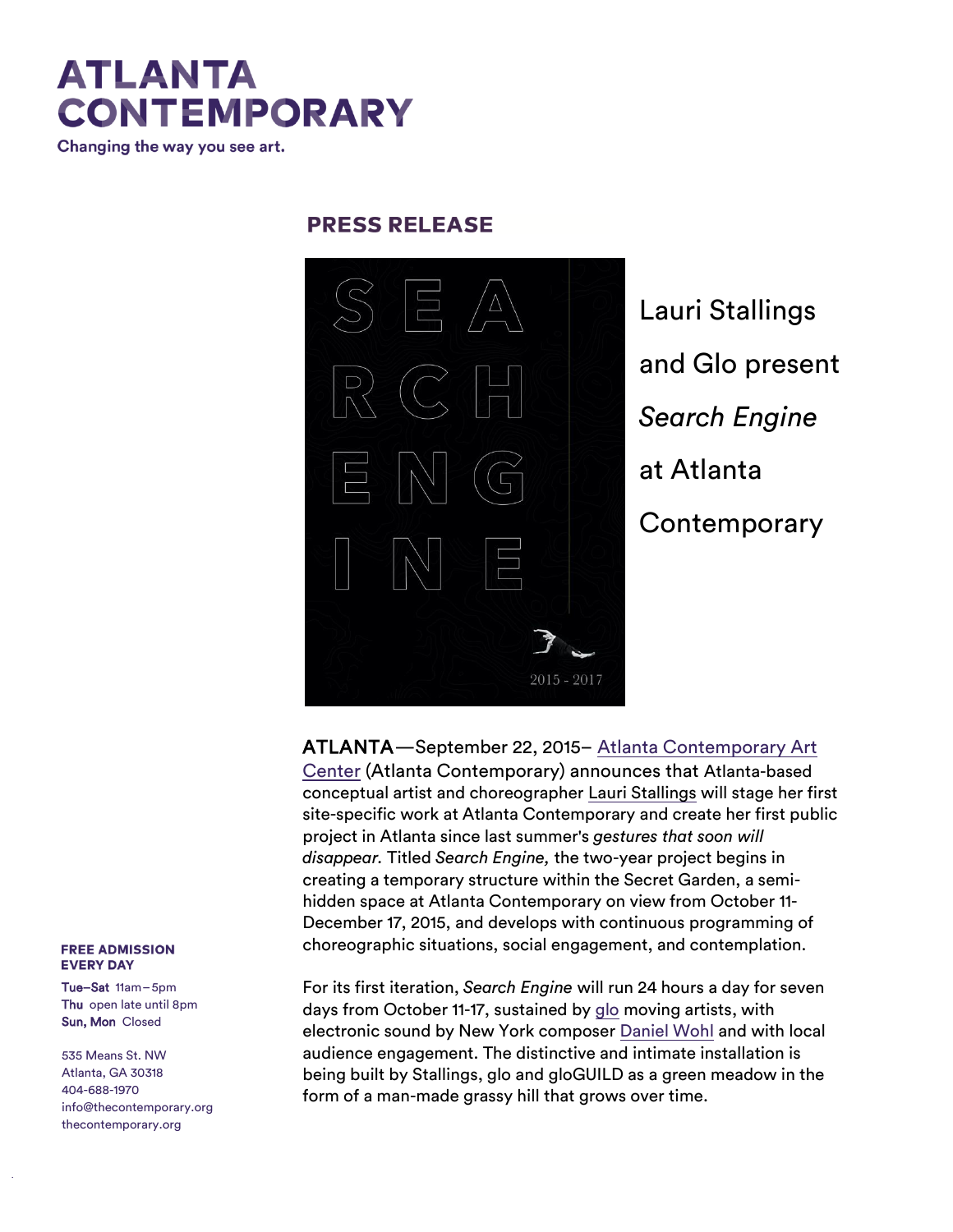# **ATLANTA CONTEMPORARY**

Changing the way you see art.

### **PRESS RELEASE**



Lauri Stallings and Glo present *Search Engine* at Atlanta **Contemporary** 

ATLANTA—September 22, 2015– Atlanta Contemporary Art Center (Atlanta Contemporary) announces that Atlanta-based conceptual artist and choreographer [Lauri Stallings](http://r20.rs6.net/tn.jsp?e=001oS7Vnrg5cVGZAmgxoXNYECio4sBRr5h6R0lGYSW6RDdLUTAoLJSzE65HzJqj2k7Qocim7Uhx3s0x673E-tPOZ9e9PtlYFoI4EAIgyqHTOjUx87T7OzwEVw==) will stage her first site-specific work at Atlanta Contemporary and create her first public project in Atlanta since last summer's *gestures that soon will disappear.* Titled *Search Engine,* the two-year project begins in creating a temporary structure within the Secret Garden, a semihidden space at Atlanta Contemporary on view from October 11- December 17, 2015, and develops with continuous programming of choreographic situations, social engagement, and contemplation.

For its first iteration, *Search Engine* will run 24 hours a day for seven days from October 11-17, sustained by [glo](http://www.lauristallings.org/glo-collaborators/) moving artists, with electronic sound by New York composer [Daniel Wohl](http://www.danielwohlmusic.com/) and with local audience engagement. The distinctive and intimate installation is being built by Stallings, glo and gloGUILD as a green meadow in the form of a man-made grassy hill that grows over time.

#### **FREE ADMISSION EVERY DAY**

Tue–Sat 11am–5pm Thu open late until 8pm Sun, Mon Closed

535 Means St. NW Atlanta, GA 30318 404-688-1970 [info@thecontemporary.org](mailto:info@thecontemporary.org) thecontemporary.org

t hecont emporary.org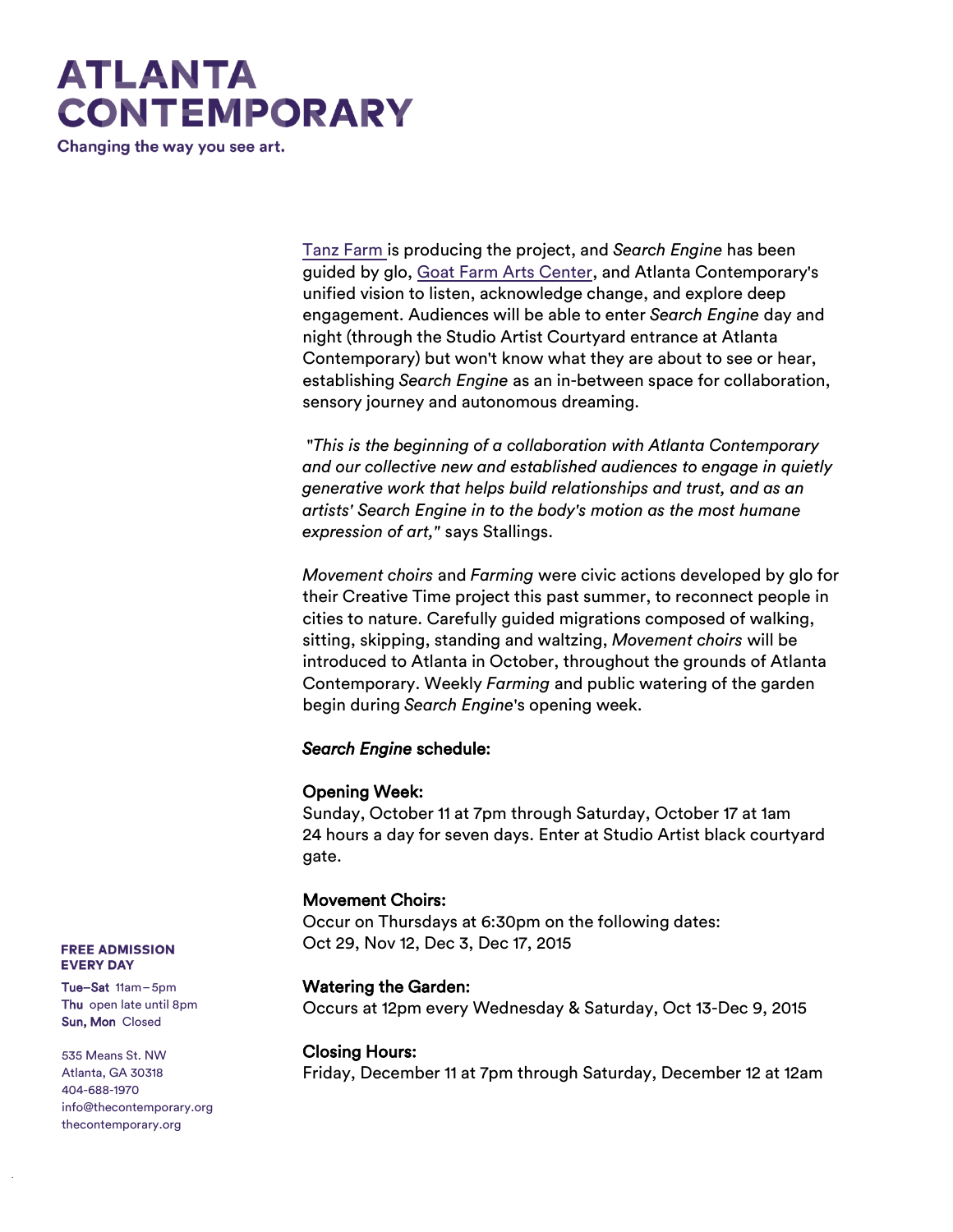# **ATLANTA CONTEMPORARY**

Changing the way you see art.

[Tanz Farm](http://tanzfarm.com/) is producing the project, and *Search Engine* has been guided by glo, [Goat Farm Arts Center,](https://www.facebook.com/TheGoatFarmArtsCenter) and Atlanta Contemporary's unified vision to listen, acknowledge change, and explore deep engagement. Audiences will be able to enter *Search Engine* day and night (through the Studio Artist Courtyard entrance at Atlanta Contemporary) but won't know what they are about to see or hear, establishing *Search Engine* as an in-between space for collaboration, sensory journey and autonomous dreaming.

"*This is the beginning of a collaboration with Atlanta Contemporary and our collective new and established audiences to engage in quietly generative work that helps build relationships and trust, and as an artists' Search Engine in to the body's motion as the most humane expression of art,"* says Stallings.

*Movement choirs* and *Farming* were civic actions developed by glo for their Creative Time project this past summer, to reconnect people in cities to nature. Carefully guided migrations composed of walking, sitting, skipping, standing and waltzing, *Movement choirs* will be introduced to Atlanta in October, throughout the grounds of Atlanta Contemporary. Weekly *Farming* and public watering of the garden begin during *Search Engine*'s opening week.

#### *Search Engine* schedule:

#### Opening Week:

Sunday, October 11 at 7pm through Saturday, October 17 at 1am 24 hours a day for seven days. Enter at Studio Artist black courtyard gate.

#### Movement Choirs:

Occur on Thursdays at 6:30pm on the following dates: Oct 29, Nov 12, Dec 3, Dec 17, 2015

#### Watering the Garden:

Occurs at 12pm every Wednesday & Saturday, Oct 13-Dec 9, 2015

#### Closing Hours:

Friday, December 11 at 7pm through Saturday, December 12 at 12am

**FREE ADMISSION EVERY DAY** 

Tue–Sat 11am–5pm Thu open late until 8pm Sun, Mon Closed

535 Means St. NW Atlanta, GA 30318 404-688-1970 [info@thecontemporary.org](mailto:info@thecontemporary.org) thecontemporary.org

t hecont emporary.org